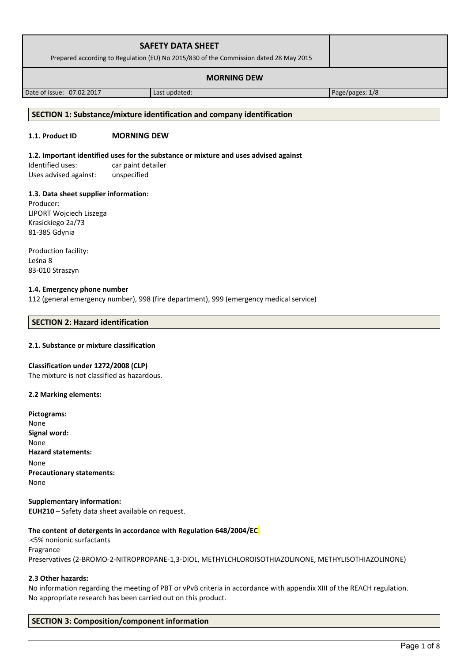| <b>SAFETY DATA SHEET</b><br>Prepared according to Regulation (EU) No 2015/830 of the Commission dated 28 May 2015 |  |
|-------------------------------------------------------------------------------------------------------------------|--|
| <b>MORNING DEW</b>                                                                                                |  |

Date of issue: 07.02.2017 and a last updated: Page/pages: 1/8

#### **SECTION 1: Substance/mixture identification and company identification**

# **1.1. Product ID MORNING DEW**

#### **1.2. Important identified uses for the substance or mixture and uses advised against**

Identified uses: car paint detailer Uses advised against: unspecified

#### **1.3. Data sheet supplier information:**

Producer: LIPORT Wojciech Liszega Krasickiego 2a/73 81-385 Gdynia

Production facility: Leśna 8 83-010 Straszyn

# **1.4. Emergency phone number**

112 (general emergency number), 998 (fire department), 999 (emergency medical service)

# **SECTION 2: Hazard identification**

# **2.1. Substance or mixture classification**

#### **Classification under 1272/2008 (CLP)**

The mixture is not classified as hazardous.

#### **2.2 Marking elements:**

**Supplementary information: EUH210** – Safety data sheet available on request.

# **The content of detergents in accordance with Regulation 648/2004/EC**

 <5% nonionic surfactants Fragrance Preservatives (2-BROMO-2-NITROPROPANE-1,3-DIOL, METHYLCHLOROISOTHIAZOLINONE, METHYLISOTHIAZOLINONE)

# **2.3 Other hazards:**

No information regarding the meeting of PBT or vPvB criteria in accordance with appendix XIII of the REACH regulation. No appropriate research has been carried out on this product.

# **SECTION 3: Composition/component information**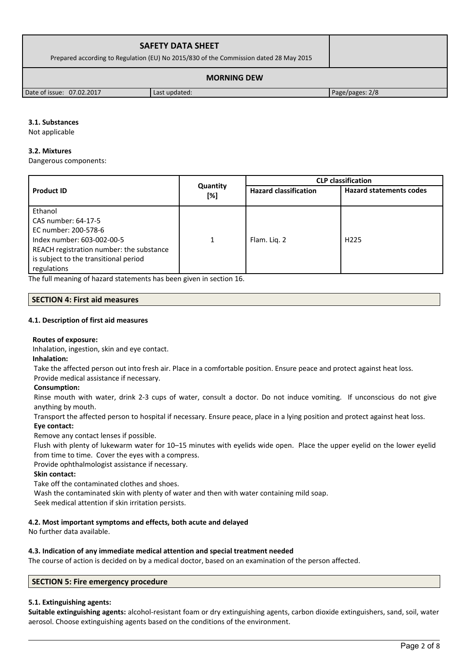| <b>SAFETY DATA SHEET</b><br>Prepared according to Regulation (EU) No 2015/830 of the Commission dated 28 May 2015 |               |                 |  |
|-------------------------------------------------------------------------------------------------------------------|---------------|-----------------|--|
| <b>MORNING DEW</b>                                                                                                |               |                 |  |
| Date of issue: 07.02.2017                                                                                         | Last updated: | Page/pages: 2/8 |  |

# **3.1. Substances**

Not applicable

### **3.2. Mixtures**

Dangerous components:

|                                          |                 | <b>CLP classification</b>    |                                |  |
|------------------------------------------|-----------------|------------------------------|--------------------------------|--|
| <b>Product ID</b>                        | Quantity<br>[%] | <b>Hazard classification</b> | <b>Hazard statements codes</b> |  |
| Ethanol                                  |                 |                              |                                |  |
| CAS number: 64-17-5                      |                 |                              |                                |  |
| EC number: 200-578-6                     |                 |                              |                                |  |
| Index number: 603-002-00-5               | 1               | Flam. Lig. 2                 | H <sub>225</sub>               |  |
| REACH registration number: the substance |                 |                              |                                |  |
| is subject to the transitional period    |                 |                              |                                |  |
| regulations                              |                 |                              |                                |  |

The full meaning of hazard statements has been given in section 16.

# **SECTION 4: First aid measures**

#### **4.1. Description of first aid measures**

# **Routes of exposure:**

Inhalation, ingestion, skin and eye contact.

**Inhalation:**

Take the affected person out into fresh air. Place in a comfortable position. Ensure peace and protect against heat loss.

# Provide medical assistance if necessary.

# **Consumption:**

Rinse mouth with water, drink 2-3 cups of water, consult a doctor. Do not induce vomiting. If unconscious do not give anything by mouth.

Transport the affected person to hospital if necessary. Ensure peace, place in a lying position and protect against heat loss. **Eye contact:**

Remove any contact lenses if possible.

Flush with plenty of lukewarm water for 10–15 minutes with eyelids wide open. Place the upper eyelid on the lower eyelid from time to time. Cover the eyes with a compress.

Provide ophthalmologist assistance if necessary.

# **Skin contact:**

Take off the contaminated clothes and shoes.

Wash the contaminated skin with plenty of water and then with water containing mild soap.

Seek medical attention if skin irritation persists.

# **4.2. Most important symptoms and effects, both acute and delayed**

No further data available.

# **4.3. Indication of any immediate medical attention and special treatment needed**

The course of action is decided on by a medical doctor, based on an examination of the person affected.

# **SECTION 5: Fire emergency procedure**

# **5.1. Extinguishing agents:**

**Suitable extinguishing agents:** alcohol-resistant foam or dry extinguishing agents, carbon dioxide extinguishers, sand, soil, water aerosol. Choose extinguishing agents based on the conditions of the environment.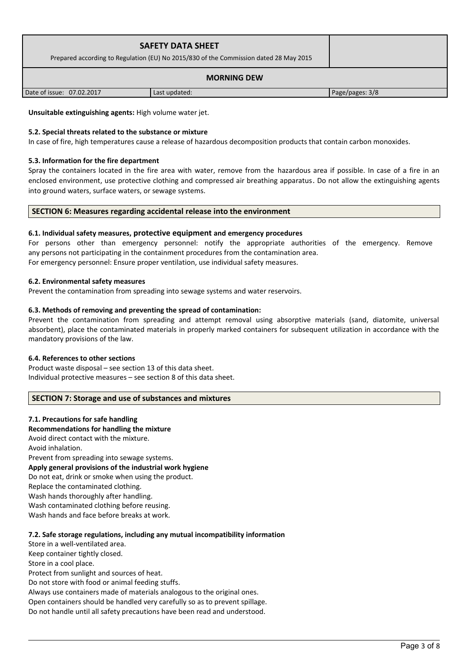| <b>SAFETY DATA SHEET</b><br>Prepared according to Regulation (EU) No 2015/830 of the Commission dated 28 May 2015 |               |                 |
|-------------------------------------------------------------------------------------------------------------------|---------------|-----------------|
| <b>MORNING DEW</b>                                                                                                |               |                 |
| Date of issue: 07.02.2017                                                                                         | Last updated: | Page/pages: 3/8 |

**Unsuitable extinguishing agents:** High volume water jet.

# **5.2. Special threats related to the substance or mixture**

In case of fire, high temperatures cause a release of hazardous decomposition products that contain carbon monoxides.

### **5.3. Information for the fire department**

Spray the containers located in the fire area with water, remove from the hazardous area if possible. In case of a fire in an enclosed environment, use protective clothing and compressed air breathing apparatus. Do not allow the extinguishing agents into ground waters, surface waters, or sewage systems.

# **SECTION 6: Measures regarding accidental release into the environment**

#### **6.1. Individual safety measures, protective equipment and emergency procedures**

For persons other than emergency personnel: notify the appropriate authorities of the emergency. Remove any persons not participating in the containment procedures from the contamination area. For emergency personnel: Ensure proper ventilation, use individual safety measures.

#### **6.2. Environmental safety measures**

Prevent the contamination from spreading into sewage systems and water reservoirs.

# **6.3. Methods of removing and preventing the spread of contamination:**

Prevent the contamination from spreading and attempt removal using absorptive materials (sand, diatomite, universal absorbent), place the contaminated materials in properly marked containers for subsequent utilization in accordance with the mandatory provisions of the law.

#### **6.4. References to other sections**

Product waste disposal – see section 13 of this data sheet. Individual protective measures – see section 8 of this data sheet.

# **SECTION 7: Storage and use of substances and mixtures**

#### **7.1. Precautions for safe handling**

#### **Recommendations for handling the mixture**

Avoid direct contact with the mixture.

Avoid inhalation.

Prevent from spreading into sewage systems. **Apply general provisions of the industrial work hygiene**  Do not eat, drink or smoke when using the product. Replace the contaminated clothing. Wash hands thoroughly after handling. Wash contaminated clothing before reusing. Wash hands and face before breaks at work.

# **7.2. Safe storage regulations, including any mutual incompatibility information**

Store in a well-ventilated area. Keep container tightly closed. Store in a cool place. Protect from sunlight and sources of heat.

Do not store with food or animal feeding stuffs.

Always use containers made of materials analogous to the original ones.

Open containers should be handled very carefully so as to prevent spillage.

Do not handle until all safety precautions have been read and understood.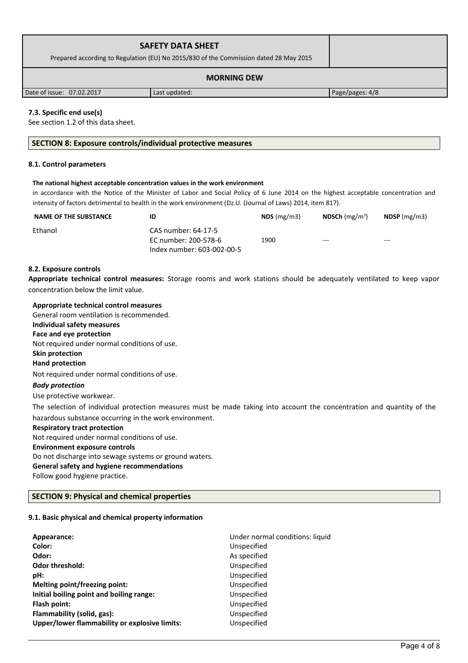| <b>SAFETY DATA SHEET</b><br>Prepared according to Regulation (EU) No 2015/830 of the Commission dated 28 May 2015 |               |                 |  |
|-------------------------------------------------------------------------------------------------------------------|---------------|-----------------|--|
| <b>MORNING DEW</b>                                                                                                |               |                 |  |
| Date of issue: 07.02.2017                                                                                         | Last updated: | Page/pages: 4/8 |  |

# **7.3. Specific end use(s)**

See section 1.2 of this data sheet.

#### **SECTION 8: Exposure controls/individual protective measures**

#### **8.1. Control parameters**

#### **The national highest acceptable concentration values in the work environment**

in accordance with the Notice of the Minister of Labor and Social Policy of 6 June 2014 on the highest acceptable concentration and intensity of factors detrimental to health in the work environment (Dz.U. (Journal of Laws) 2014, item 817).

| <b>NAME OF THE SUBSTANCE</b> | ID                                                                        | $NDS$ (mg/m3) | <b>NDSCh</b> $(mg/m^3)$ | $NDSP$ (mg/m3) |
|------------------------------|---------------------------------------------------------------------------|---------------|-------------------------|----------------|
| Ethanol                      | CAS number: 64-17-5<br>EC number: 200-578-6<br>Index number: 603-002-00-5 | 1900          | $--$                    | $--$           |

#### **8.2. Exposure controls**

**Appropriate technical control measures:** Storage rooms and work stations should be adequately ventilated to keep vapor concentration below the limit value.

**Appropriate technical control measures** General room ventilation is recommended. **Individual safety measures Face and eye protection** Not required under normal conditions of use. **Skin protection Hand protection** Not required under normal conditions of use. *Body protection* Use protective workwear. The selection of individual protection measures must be made taking into account the concentration and quantity of the hazardous substance occurring in the work environment. **Respiratory tract protection** Not required under normal conditions of use. **Environment exposure controls**  Do not discharge into sewage systems or ground waters. **General safety and hygiene recommendations** Follow good hygiene practice.

#### **SECTION 9: Physical and chemical properties**

#### **9.1. Basic physical and chemical property information**

| Appearance:                                   | Under normal conditions: liquid |
|-----------------------------------------------|---------------------------------|
| Color:                                        | Unspecified                     |
| Odor:                                         | As specified                    |
| <b>Odor threshold:</b>                        | Unspecified                     |
| pH:                                           | Unspecified                     |
| Melting point/freezing point:                 | Unspecified                     |
| Initial boiling point and boiling range:      | Unspecified                     |
| Flash point:                                  | Unspecified                     |
| Flammability (solid, gas):                    | Unspecified                     |
| Upper/lower flammability or explosive limits: | Unspecified                     |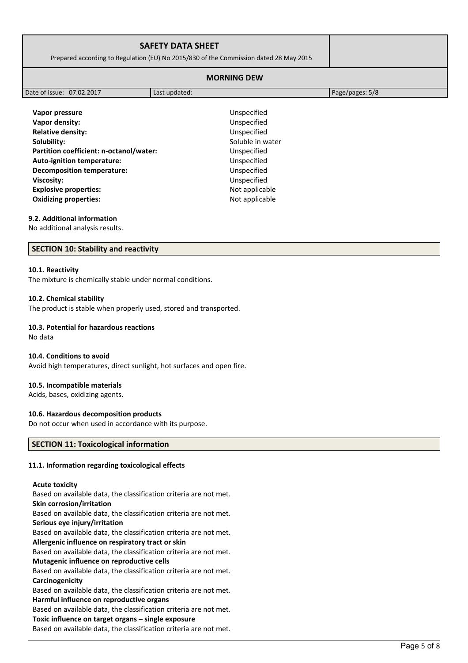| <b>SAFETY DATA SHEET</b><br>Prepared according to Regulation (EU) No 2015/830 of the Commission dated 28 May 2015 |  |
|-------------------------------------------------------------------------------------------------------------------|--|
| <b>MORNING DEW</b>                                                                                                |  |

|                                         | Unspecified      |
|-----------------------------------------|------------------|
| Vapor pressure                          |                  |
| Vapor density:                          | Unspecified      |
| <b>Relative density:</b>                | Unspecified      |
| Solubility:                             | Soluble in water |
| Partition coefficient: n-octanol/water: | Unspecified      |
| <b>Auto-ignition temperature:</b>       | Unspecified      |
| <b>Decomposition temperature:</b>       | Unspecified      |
| Viscosity:                              | Unspecified      |
| <b>Explosive properties:</b>            | Not applicable   |
| <b>Oxidizing properties:</b>            | Not applicable   |

Date of issue: 07.02.2017 Last updated: Page/pages: 5/8

#### **9.2. Additional information**

No additional analysis results.

# **SECTION 10: Stability and reactivity**

#### **10.1. Reactivity**

The mixture is chemically stable under normal conditions.

#### **10.2. Chemical stability**

The product is stable when properly used, stored and transported.

#### **10.3. Potential for hazardous reactions**

No data

#### **10.4. Conditions to avoid**

Avoid high temperatures, direct sunlight, hot surfaces and open fire.

#### **10.5. Incompatible materials**

Acids, bases, oxidizing agents.

# **10.6. Hazardous decomposition products**

Do not occur when used in accordance with its purpose.

# **SECTION 11: Toxicological information**

#### **11.1. Information regarding toxicological effects**

#### **Acute toxicity**

Based on available data, the classification criteria are not met. **Skin corrosion/irritation** Based on available data, the classification criteria are not met. **Serious eye injury/irritation** Based on available data, the classification criteria are not met. **Allergenic influence on respiratory tract or skin** Based on available data, the classification criteria are not met. **Mutagenic influence on reproductive cells** Based on available data, the classification criteria are not met. **Carcinogenicity** Based on available data, the classification criteria are not met. **Harmful influence on reproductive organs** Based on available data, the classification criteria are not met. **Toxic influence on target organs – single exposure**

Based on available data, the classification criteria are not met.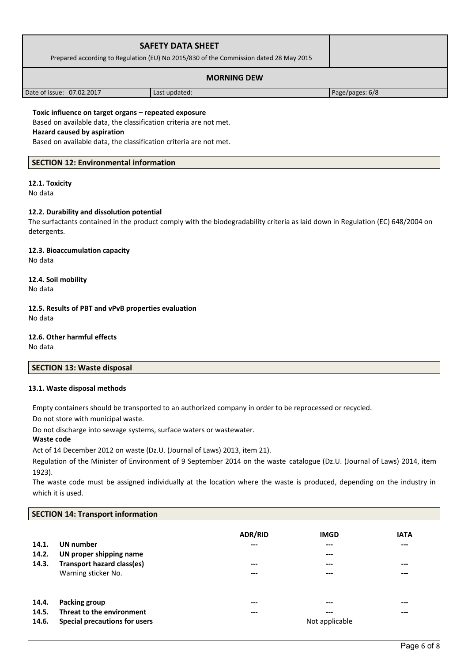| <b>SAFETY DATA SHEET</b><br>Prepared according to Regulation (EU) No 2015/830 of the Commission dated 28 May 2015 |               |                 |
|-------------------------------------------------------------------------------------------------------------------|---------------|-----------------|
| <b>MORNING DEW</b>                                                                                                |               |                 |
| Date of issue: 07.02.2017                                                                                         | Last updated: | Page/pages: 6/8 |

**Toxic influence on target organs – repeated exposure** Based on available data, the classification criteria are not met. **Hazard caused by aspiration**

Based on available data, the classification criteria are not met.

# **SECTION 12: Environmental information**

# **12.1. Toxicity**

No data

# **12.2. Durability and dissolution potential**

The surfactants contained in the product comply with the biodegradability criteria as laid down in Regulation (EC) 648/2004 on detergents.

**12.3. Bioaccumulation capacity** No data

**12.4. Soil mobility** No data

**12.5. Results of PBT and vPvB properties evaluation** No data

**12.6. Other harmful effects**

No data

**SECTION 13: Waste disposal**

# **13.1. Waste disposal methods**

Empty containers should be transported to an authorized company in order to be reprocessed or recycled.

Do not store with municipal waste.

Do not discharge into sewage systems, surface waters or wastewater.

#### **Waste code**

Act of 14 December 2012 on waste (Dz.U. (Journal of Laws) 2013, item 21).

Regulation of the Minister of Environment of 9 September 2014 on the waste catalogue (Dz.U. (Journal of Laws) 2014, item 1923).

The waste code must be assigned individually at the location where the waste is produced, depending on the industry in which it is used.

# **SECTION 14: Transport information**

| 14.1.<br>14.2.<br>14.3. | UN number<br>UN proper shipping name<br>Transport hazard class(es)<br>Warning sticker No. | <b>ADR/RID</b><br>$---$<br>$---$<br>--- | <b>IMGD</b><br>---<br>---<br>---<br>--- | <b>IATA</b><br>$---$<br>$---$<br>$---$ |
|-------------------------|-------------------------------------------------------------------------------------------|-----------------------------------------|-----------------------------------------|----------------------------------------|
| 14.4.                   | Packing group                                                                             | ---                                     | ---                                     | $---$                                  |
| 14.5.                   | Threat to the environment                                                                 | ---                                     | ---                                     | $- - -$                                |
| 14.6.                   | Special precautions for users                                                             |                                         | Not applicable                          |                                        |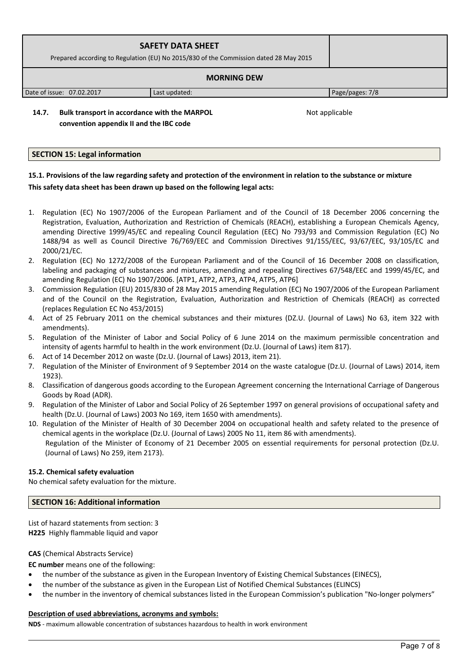| <b>SAFETY DATA SHEET</b><br>Prepared according to Regulation (EU) No 2015/830 of the Commission dated 28 May 2015 |               |                 |  |
|-------------------------------------------------------------------------------------------------------------------|---------------|-----------------|--|
| <b>MORNING DEW</b>                                                                                                |               |                 |  |
| Date of issue: 07.02.2017                                                                                         | Last updated: | Page/pages: 7/8 |  |

**14.7. Bulk transport in accordance with the MARPOL convention appendix II and the IBC code** 

Not applicable

# **SECTION 15: Legal information**

# **15.1. Provisions of the law regarding safety and protection of the environment in relation to the substance or mixture This safety data sheet has been drawn up based on the following legal acts:**

- 1. Regulation (EC) No 1907/2006 of the European Parliament and of the Council of 18 December 2006 concerning the Registration, Evaluation, Authorization and Restriction of Chemicals (REACH), establishing a European Chemicals Agency, amending Directive 1999/45/EC and repealing Council Regulation (EEC) No 793/93 and Commission Regulation (EC) No 1488/94 as well as Council Directive 76/769/EEC and Commission Directives 91/155/EEC, 93/67/EEC, 93/105/EC and 2000/21/EC.
- 2. Regulation (EC) No 1272/2008 of the European Parliament and of the Council of 16 December 2008 on classification, labeling and packaging of substances and mixtures, amending and repealing Directives 67/548/EEC and 1999/45/EC, and amending Regulation (EC) No 1907/2006. [ATP1, ATP2, ATP3, ATP4, ATP5, ATP6]
- 3. Commission Regulation (EU) 2015/830 of 28 May 2015 amending Regulation (EC) No 1907/2006 of the European Parliament and of the Council on the Registration, Evaluation, Authorization and Restriction of Chemicals (REACH) as corrected (replaces Regulation EC No 453/2015)
- 4. Act of 25 February 2011 on the chemical substances and their mixtures (DZ.U. (Journal of Laws) No 63, item 322 with amendments).
- 5. Regulation of the Minister of Labor and Social Policy of 6 June 2014 on the maximum permissible concentration and intensity of agents harmful to health in the work environment (Dz.U. (Journal of Laws) item 817).
- 6. Act of 14 December 2012 on waste (Dz.U. (Journal of Laws) 2013, item 21).
- 7. Regulation of the Minister of Environment of 9 September 2014 on the waste catalogue (Dz.U. (Journal of Laws) 2014, item 1923).
- 8. Classification of dangerous goods according to the European Agreement concerning the International Carriage of Dangerous Goods by Road (ADR).
- 9. Regulation of the Minister of Labor and Social Policy of 26 September 1997 on general provisions of occupational safety and health (Dz.U. (Journal of Laws) 2003 No 169, item 1650 with amendments).
- 10. Regulation of the Minister of Health of 30 December 2004 on occupational health and safety related to the presence of chemical agents in the workplace (Dz.U. (Journal of Laws) 2005 No 11, item 86 with amendments). Regulation of the Minister of Economy of 21 December 2005 on essential requirements for personal protection (Dz.U. (Journal of Laws) No 259, item 2173).

# **15.2. Chemical safety evaluation**

No chemical safety evaluation for the mixture.

# **SECTION 16: Additional information**

List of hazard statements from section: 3 **H225** Highly flammable liquid and vapor

# **CAS** (Chemical Abstracts Service)

**EC number** means one of the following:

- the number of the substance as given in the European Inventory of Existing Chemical Substances (EINECS),
- the number of the substance as given in the European List of Notified Chemical Substances (ELINCS)
- the number in the inventory of chemical substances listed in the European Commission's publication "No-longer polymers"

# **Description of used abbreviations, acronyms and symbols:**

**NDS** - maximum allowable concentration of substances hazardous to health in work environment